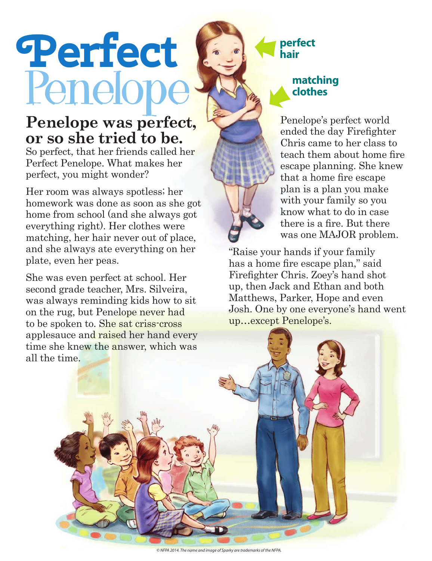## **Perfect** Penelope **M**

## **Penelope was perfect, or so she tried to be.**

So perfect, that her friends called her Perfect Penelope. What makes her perfect, you might wonder?

Her room was always spotless; her homework was done as soon as she got home from school (and she always got everything right). Her clothes were matching, her hair never out of place, and she always ate everything on her plate, even her peas.

She was even perfect at school. Her second grade teacher, Mrs. Silveira, was always reminding kids how to sit on the rug, but Penelope never had to be spoken to. She sat criss-cross applesauce and raised her hand every time she knew the answer, which was all the time.

## **perfect hair** C

## **clothes** K.

Penelope's perfect world ended the day Firefighter Chris came to her class to teach them about home fire escape planning. She knew that a home fire escape plan is a plan you make with your family so you know what to do in case there is a fire. But there was one MAJOR problem.

"Raise your hands if your family has a home fire escape plan," said Firefighter Chris. Zoey's hand shot up, then Jack and Ethan and both Matthews, Parker, Hope and even Josh. One by one everyone's hand went up…except Penelope's.

*© NFPA 2014. The name and image of Sparky are trademarks of the NFPA.*